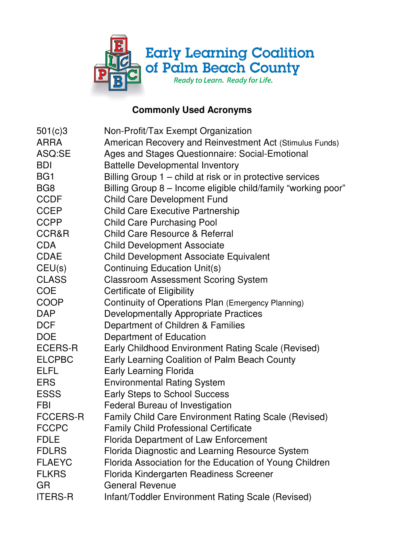

## **Commonly Used Acronyms**

| 501(c)3         | Non-Profit/Tax Exempt Organization                            |
|-----------------|---------------------------------------------------------------|
| <b>ARRA</b>     | American Recovery and Reinvestment Act (Stimulus Funds)       |
| ASQ:SE          | Ages and Stages Questionnaire: Social-Emotional               |
| <b>BDI</b>      | <b>Battelle Developmental Inventory</b>                       |
| BG <sub>1</sub> | Billing Group 1 – child at risk or in protective services     |
| BG <sub>8</sub> | Billing Group 8 - Income eligible child/family "working poor" |
| <b>CCDF</b>     | <b>Child Care Development Fund</b>                            |
| <b>CCEP</b>     | <b>Child Care Executive Partnership</b>                       |
| <b>CCPP</b>     | <b>Child Care Purchasing Pool</b>                             |
| CCR&R           | <b>Child Care Resource &amp; Referral</b>                     |
| <b>CDA</b>      | <b>Child Development Associate</b>                            |
| <b>CDAE</b>     | <b>Child Development Associate Equivalent</b>                 |
| CEU(s)          | <b>Continuing Education Unit(s)</b>                           |
| <b>CLASS</b>    | <b>Classroom Assessment Scoring System</b>                    |
| <b>COE</b>      | Certificate of Eligibility                                    |
| <b>COOP</b>     | Continuity of Operations Plan (Emergency Planning)            |
| <b>DAP</b>      | <b>Developmentally Appropriate Practices</b>                  |
| <b>DCF</b>      | Department of Children & Families                             |
| <b>DOE</b>      | Department of Education                                       |
| ECERS-R         | Early Childhood Environment Rating Scale (Revised)            |
| <b>ELCPBC</b>   | Early Learning Coalition of Palm Beach County                 |
| <b>ELFL</b>     | <b>Early Learning Florida</b>                                 |
| <b>ERS</b>      | <b>Environmental Rating System</b>                            |
| <b>ESSS</b>     | <b>Early Steps to School Success</b>                          |
| <b>FBI</b>      | <b>Federal Bureau of Investigation</b>                        |
| <b>FCCERS-R</b> | <b>Family Child Care Environment Rating Scale (Revised)</b>   |
| <b>FCCPC</b>    | <b>Family Child Professional Certificate</b>                  |
| FDLE            | <b>Florida Department of Law Enforcement</b>                  |
| <b>FDLRS</b>    | Florida Diagnostic and Learning Resource System               |
| <b>FLAEYC</b>   | Florida Association for the Education of Young Children       |
| <b>FLKRS</b>    | Florida Kindergarten Readiness Screener                       |
| GR              | <b>General Revenue</b>                                        |
| <b>ITERS-R</b>  | Infant/Toddler Environment Rating Scale (Revised)             |